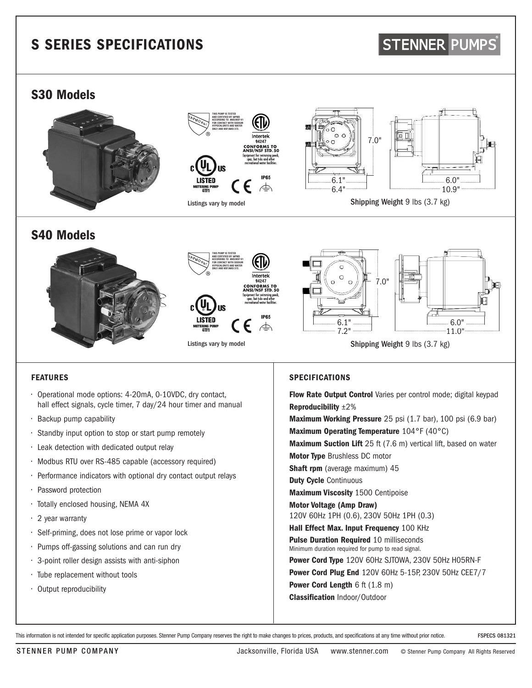# S SERIES SPECIFICATIONS

# **STENNER PUMPS**

## S30 Models







Shipping Weight 9 lbs (3.7 kg)

## S40 Models



### FEATURES

- Operational mode options: 4-20mA, 0-10VDC, dry contact, hall effect signals, cycle timer, 7 day/24 hour timer and manual
- Backup pump capability
- Standby input option to stop or start pump remotely
- Leak detection with dedicated output relay
- Modbus RTU over RS-485 capable (accessory required)
- Performance indicators with optional dry contact output relays
- Password protection
- Totally enclosed housing, NEMA 4X
- 2 year warranty
- Self-priming, does not lose prime or vapor lock
- Pumps off-gassing solutions and can run dry
- 3-point roller design assists with anti-siphon
- Tube replacement without tools
- Output reproducibility

### SPECIFICATIONS

Flow Rate Output Control Varies per control mode; digital keypad Reproducibility ±2% Maximum Working Pressure 25 psi (1.7 bar), 100 psi (6.9 bar) Maximum Operating Temperature 104°F (40°C) Maximum Suction Lift 25 ft (7.6 m) vertical lift, based on water Motor Type Brushless DC motor Shaft rpm (average maximum) 45 Duty Cycle Continuous Maximum Viscosity 1500 Centipoise Motor Voltage (Amp Draw) 120V 60Hz 1PH (0.6), 230V 50Hz 1PH (0.3)

Hall Effect Max. Input Frequency 100 KHz Pulse Duration Required 10 milliseconds Minimum duration required for pump to read signal.

Power Cord Type 120V 60Hz SJTOWA, 230V 50Hz H05RN-F

Power Cord Plug End 120V 60Hz 5-15P, 230V 50Hz CEE7/7

Power Cord Length 6 ft (1.8 m)

Classification Indoor/Outdoor

This information is not intended for specific application purposes. Stenner Pump Company reserves the right to make changes to prices, products, and specifications at any time without prior notice. FSPECS 081321